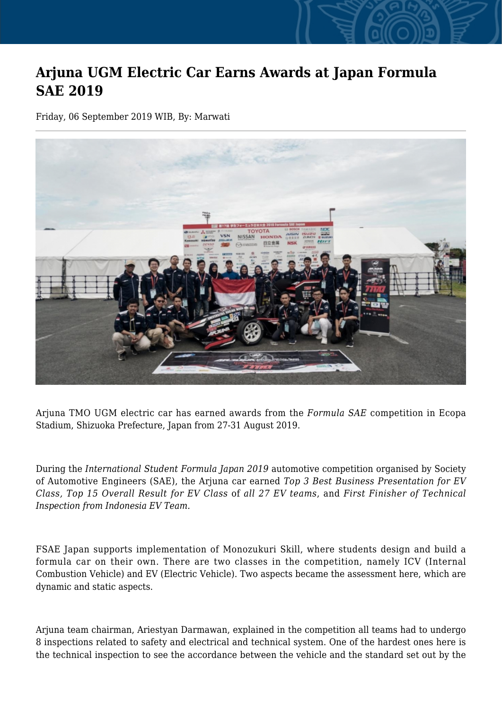## **Arjuna UGM Electric Car Earns Awards at Japan Formula SAE 2019**

Friday, 06 September 2019 WIB, By: Marwati



Arjuna TMO UGM electric car has earned awards from the *Formula SAE* competition in Ecopa Stadium, Shizuoka Prefecture, Japan from 27-31 August 2019.

During the *International Student Formula Japan 2019* automotive competition organised by Society of Automotive Engineers (SAE), the Arjuna car earned *Top 3 Best Business Presentation for EV Class, Top 15 Overall Result for EV Class* of *all 27 EV teams*, and *First Finisher of Technical Inspection from Indonesia EV Team.*

FSAE Japan supports implementation of Monozukuri Skill, where students design and build a formula car on their own. There are two classes in the competition, namely ICV (Internal Combustion Vehicle) and EV (Electric Vehicle). Two aspects became the assessment here, which are dynamic and static aspects.

Arjuna team chairman, Ariestyan Darmawan, explained in the competition all teams had to undergo 8 inspections related to safety and electrical and technical system. One of the hardest ones here is the technical inspection to see the accordance between the vehicle and the standard set out by the